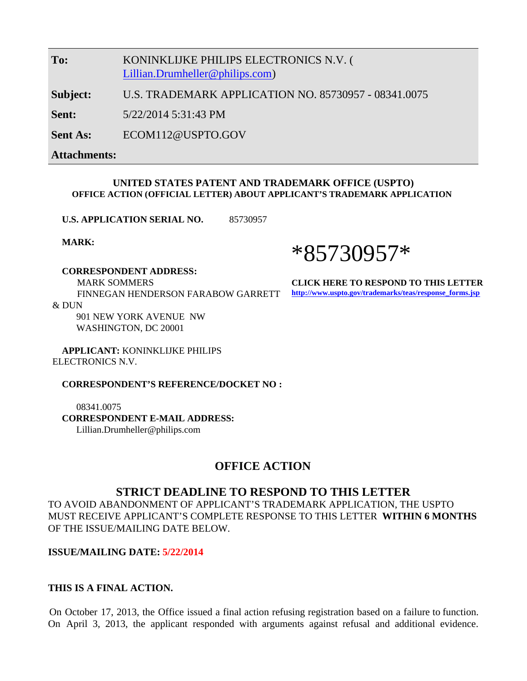**To:** KONINKLIJKE PHILIPS ELECTRONICS N.V. ( [Lillian.Drumheller@philips.com](mailto:Lillian.Drumheller@philips.com))

**Subject:** U.S. TRADEMARK APPLICATION NO. 85730957 - 08341.0075

**Sent:** 5/22/2014 5:31:43 PM

**Sent As:** ECOM112@USPTO.GOV

**Attachments:**

#### **UNITED STATES PATENT AND TRADEMARK OFFICE (USPTO) OFFICE ACTION (OFFICIAL LETTER) ABOUT APPLICANT'S TRADEMARK APPLICATION**

**U.S. APPLICATION SERIAL NO.** 85730957

**MARK:**

#### **CORRESPONDENT ADDRESS:**

 MARK SOMMERS FINNEGAN HENDERSON FARABOW GARRETT  $&$  DUN

> 901 NEW YORK AVENUE NW WASHINGTON, DC 20001

 **APPLICANT:** KONINKLIJKE PHILIPS ELECTRONICS N.V.

**CORRESPONDENT'S REFERENCE/DOCKET NO :**

 08341.0075  **CORRESPONDENT E-MAIL ADDRESS:** Lillian.Drumheller@philips.com

### **OFFICE ACTION**

#### **STRICT DEADLINE TO RESPOND TO THIS LETTER**

TO AVOID ABANDONMENT OF APPLICANT'S TRADEMARK APPLICATION, THE USPTO MUST RECEIVE APPLICANT'S COMPLETE RESPONSE TO THIS LETTER **WITHIN 6 MONTHS** OF THE ISSUE/MAILING DATE BELOW.

#### **ISSUE/MAILING DATE: 5/22/2014**

#### **THIS IS A FINAL ACTION.**

On October 17, 2013, the Office issued a final action refusing registration based on a failure to function. On April 3, 2013, the applicant responded with arguments against refusal and additional evidence.

# \*85730957\*

**CLICK HERE TO RESPOND TO THIS LETTER: [http://www.uspto.gov/trademarks/teas/response\\_forms.jsp](http://www.uspto.gov/trademarks/teas/response_forms.jsp)**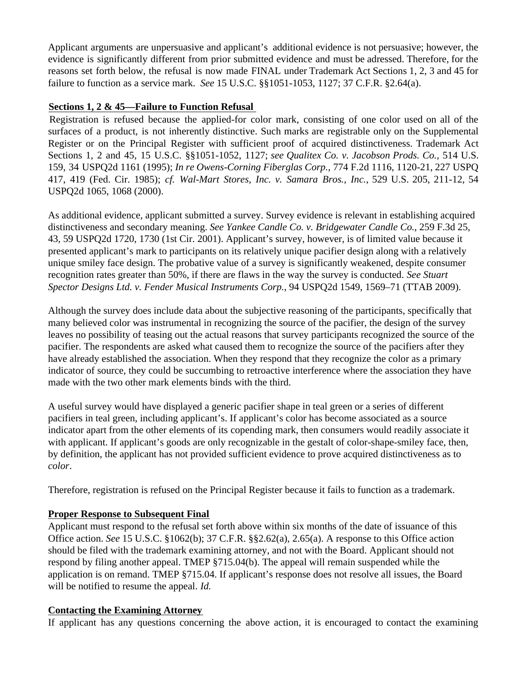Applicant arguments are unpersuasive and applicant's additional evidence is not persuasive; however, the evidence is significantly different from prior submitted evidence and must be adressed. Therefore, for the reasons set forth below, the refusal is now made FINAL under Trademark Act Sections 1, 2, 3 and 45 for failure to function as a service mark. *See* 15 U.S.C. §§1051-1053, 1127; 37 C.F.R. §2.64(a).

#### **Sections 1, 2 & 45—Failure to Function Refusal**

Registration is refused because the applied-for color mark, consisting of one color used on all of the surfaces of a product, is not inherently distinctive. Such marks are registrable only on the Supplemental Register or on the Principal Register with sufficient proof of acquired distinctiveness. Trademark Act Sections 1, 2 and 45, 15 U.S.C. §§1051-1052, 1127; *see Qualitex Co. v. Jacobson Prods. Co.,* 514 U.S. 159, 34 USPQ2d 1161 (1995); *In re Owens-Corning Fiberglas Corp.,* 774 F.2d 1116, 1120-21, 227 USPQ 417, 419 (Fed. Cir. 1985); *cf. Wal-Mart Stores, Inc. v. Samara Bros., Inc.,* 529 U.S. 205, 211-12, 54 USPQ2d 1065, 1068 (2000).

As additional evidence, applicant submitted a survey. Survey evidence is relevant in establishing acquired distinctiveness and secondary meaning. *See Yankee Candle Co. v. Bridgewater Candle Co.*, 259 F.3d 25, 43, 59 USPQ2d 1720, 1730 (1st Cir. 2001). Applicant's survey, however, is of limited value because it presented applicant's mark to participants on its relatively unique pacifier design along with a relatively unique smiley face design. The probative value of a survey is significantly weakened, despite consumer recognition rates greater than 50%, if there are flaws in the way the survey is conducted. *See Stuart Spector Designs Ltd. v. Fender Musical Instruments Corp.*, 94 USPQ2d 1549, 1569–71 (TTAB 2009).

Although the survey does include data about the subjective reasoning of the participants, specifically that many believed color was instrumental in recognizing the source of the pacifier, the design of the survey leaves no possibility of teasing out the actual reasons that survey participants recognized the source of the pacifier. The respondents are asked what caused them to recognize the source of the pacifiers after they have already established the association. When they respond that they recognize the color as a primary indicator of source, they could be succumbing to retroactive interference where the association they have made with the two other mark elements binds with the third.

A useful survey would have displayed a generic pacifier shape in teal green or a series of different pacifiers in teal green, including applicant's. If applicant's color has become associated as a source indicator apart from the other elements of its copending mark, then consumers would readily associate it with applicant. If applicant's goods are only recognizable in the gestalt of color-shape-smiley face, then, by definition, the applicant has not provided sufficient evidence to prove acquired distinctiveness as to *color*.

Therefore, registration is refused on the Principal Register because it fails to function as a trademark.

#### **Proper Response to Subsequent Final**

Applicant must respond to the refusal set forth above within six months of the date of issuance of this Office action. *See* 15 U.S.C. §1062(b); 37 C.F.R. §§2.62(a), 2.65(a). A response to this Office action should be filed with the trademark examining attorney, and not with the Board. Applicant should not respond by filing another appeal. TMEP §715.04(b). The appeal will remain suspended while the application is on remand. TMEP §715.04. If applicant's response does not resolve all issues, the Board will be notified to resume the appeal. *Id.*

#### **Contacting the Examining Attorney**

If applicant has any questions concerning the above action, it is encouraged to contact the examining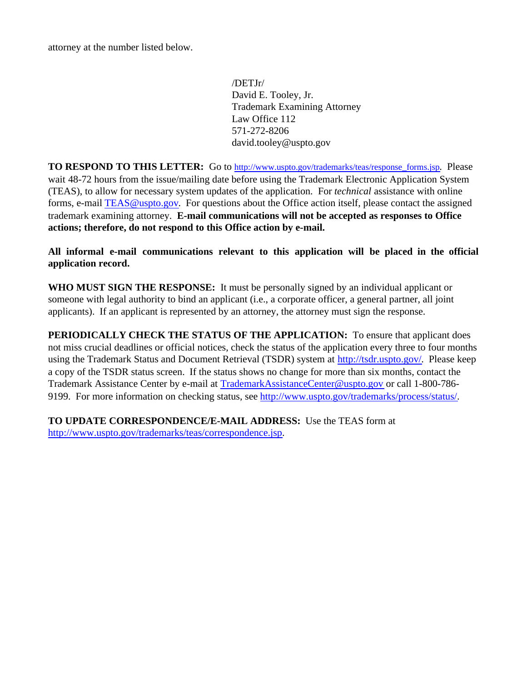attorney at the number listed below.

/DETJr/ David E. Tooley, Jr. Trademark Examining Attorney Law Office 112 571-272-8206 david.tooley@uspto.gov

**TO RESPOND TO THIS LETTER:** Go to [http://www.uspto.gov/trademarks/teas/response\\_forms.jsp](http://www.uspto.gov/trademarks/teas/response_forms.jsp). Please wait 48-72 hours from the issue/mailing date before using the Trademark Electronic Application System (TEAS), to allow for necessary system updates of the application. For *technical* assistance with online forms, e-mail [TEAS@uspto.gov](mailto:TEAS@uspto.gov). For questions about the Office action itself, please contact the assigned trademark examining attorney. **E-mail communications will not be accepted as responses to Office actions; therefore, do not respond to this Office action by e-mail.**

**All informal e-mail communications relevant to this application will be placed in the official application record.**

**WHO MUST SIGN THE RESPONSE:** It must be personally signed by an individual applicant or someone with legal authority to bind an applicant (i.e., a corporate officer, a general partner, all joint applicants). If an applicant is represented by an attorney, the attorney must sign the response.

**PERIODICALLY CHECK THE STATUS OF THE APPLICATION:** To ensure that applicant does not miss crucial deadlines or official notices, check the status of the application every three to four months using the Trademark Status and Document Retrieval (TSDR) system at <http://tsdr.uspto.gov/>. Please keep a copy of the TSDR status screen. If the status shows no change for more than six months, contact the Trademark Assistance Center by e-mail at [TrademarkAssistanceCenter@uspto.gov](mailto:TrademarkAssistanceCenter@uspto.gov) or call 1-800-786- 9199. For more information on checking status, see<http://www.uspto.gov/trademarks/process/status/>.

**TO UPDATE CORRESPONDENCE/E-MAIL ADDRESS:** Use the TEAS form at <http://www.uspto.gov/trademarks/teas/correspondence.jsp>.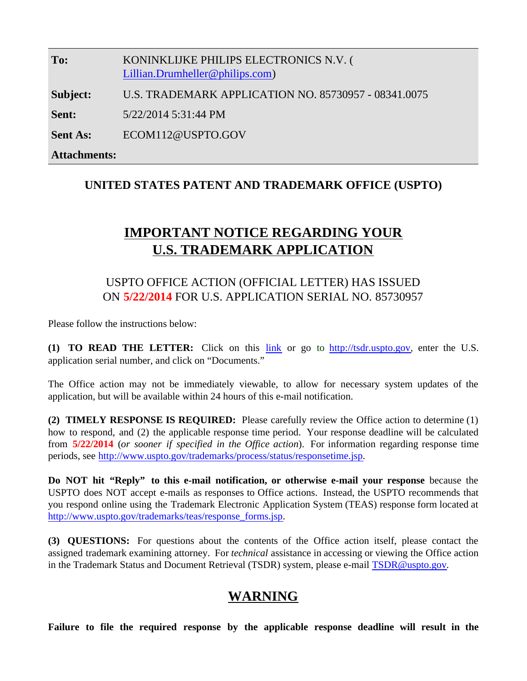| To:                 | KONINKLIJKE PHILIPS ELECTRONICS N.V. (<br>Lillian.Drumheller@philips.com) |
|---------------------|---------------------------------------------------------------------------|
| Subject:            | U.S. TRADEMARK APPLICATION NO. 85730957 - 08341.0075                      |
| Sent:               | 5/22/2014 5:31:44 PM                                                      |
| <b>Sent As:</b>     | ECOM112@USPTO.GOV                                                         |
| <b>Attachments:</b> |                                                                           |

## **UNITED STATES PATENT AND TRADEMARK OFFICE (USPTO)**

# **IMPORTANT NOTICE REGARDING YOUR U.S. TRADEMARK APPLICATION**

# USPTO OFFICE ACTION (OFFICIAL LETTER) HAS ISSUED ON **5/22/2014** FOR U.S. APPLICATION SERIAL NO. 85730957

Please follow the instructions below:

**(1) TO READ THE LETTER:** Click on this [link](http://tdr.uspto.gov/view.action?sn=85730957&type=OOA&date=20140522#tdrlink) or go to [http://tsdr.uspto.gov](http://tsdr.uspto.gov/), enter the U.S. application serial number, and click on "Documents."

The Office action may not be immediately viewable, to allow for necessary system updates of the application, but will be available within 24 hours of this e-mail notification.

**(2) TIMELY RESPONSE IS REQUIRED:** Please carefully review the Office action to determine (1) how to respond, and (2) the applicable response time period. Your response deadline will be calculated from **5/22/2014** (*or sooner if specified in the Office action*). For information regarding response time periods, see<http://www.uspto.gov/trademarks/process/status/responsetime.jsp>.

**Do NOT hit "Reply" to this e-mail notification, or otherwise e-mail your response** because the USPTO does NOT accept e-mails as responses to Office actions. Instead, the USPTO recommends that you respond online using the Trademark Electronic Application System (TEAS) response form located at [http://www.uspto.gov/trademarks/teas/response\\_forms.jsp](http://www.uspto.gov/trademarks/teas/response_forms.jsp).

**(3) QUESTIONS:** For questions about the contents of the Office action itself, please contact the assigned trademark examining attorney. For *technical* assistance in accessing or viewing the Office action in the Trademark Status and Document Retrieval (TSDR) system, please e-mail [TSDR@uspto.gov](mailto:TSDR@uspto.gov).

# **WARNING**

**Failure to file the required response by the applicable response deadline will result in the**